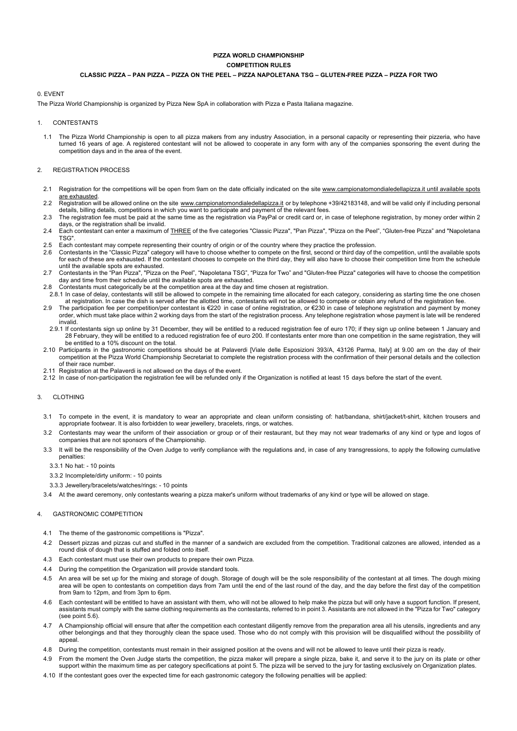# **PIZZA WORLD CHAMPIONSHIP COMPETITION RULES CLASSIC PIZZA – PAN PIZZA – PIZZA ON THE PEEL – PIZZA NAPOLETANA TSG – GLUTEN-FREE PIZZA – PIZZA FOR TWO**

# 0. EVENT

The Pizza World Championship is organized by Pizza New SpA in collaboration with Pizza e Pasta Italiana magazine.

# 1. CONTESTANTS

1.1 The Pizza World Championship is open to all pizza makers from any industry Association, in a personal capacity or representing their pizzeria, who have turned 16 years of age. A registered contestant will not be allowed to cooperate in any form with any of the companies sponsoring the event during the competition days and in the area of the event.

## 2. REGISTRATION PROCESS

- 2.1 Registration for the competitions will be open from 9am on the date officially indicated on the site www.campionatomondialedellapizza.it until available spots are exhausted
- 2.2 Registration will be allowed online on the site <u>www.campionatomondialedellapizza.it</u> or by telephone +39/42183148, and will be valid only if including personal<br>details, billing details, competitions in which you want
- 2.3 The registration fee must be paid at the same time as the registration via PayPal or credit card or, in case of telephone registration, by money order within 2 days, or the registration shall be invalid.
- 2.4 Each contestant can enter a maximum of **THREE** of the five categories "Classic Pizza", "Pan Pizza", "Pizza on the Peel", "Gluten-free Pizza" and "Napoletana TSG".
- 2.5 Each contestant may compete representing their country of origin or of the country where they practice the profession.
- 2.6 Contestants in the "Classic Pizza" category will have to choose whether to compete on the first, second or third day of the competition, until the available spots<br>for each of these are exhausted. If the contestant choo until the available spots are exhausted.
- 2.7 Contestants in the "Pan Pizza", "Pizza on the Peel", "Napoletana TSG", "Pizza for Two" and "Gluten-free Pizza" categories will have to choose the competition day and time from their schedule until the available spots are exhausted.
- 2.8 Contestants must categorically be at the competition area at the day and time chosen at registration.
- 2.8.1 In case of delay, contestants will still be allowed to compete in the remaining time allocated for each category, considering as starting time the one chosen at registration. In case the dish is served after the allotted time, contestants will not be allowed to compete or obtain any refund of the registration fee.
- 2.9 The participation fee per competition/per contestant is €220 in case of online registration, or €230 in case of telephone registration and payment by money order, which must take place within 2 working days from the start of the registration process. Any telephone registration whose payment is late will be rendered invalid.
- 2.9.1 If contestants sign up online by 31 December, they will be entitled to a reduced registration fee of euro 170; if they sign up online between 1 January and 28 February, they will be entitled to a reduced registration fee of euro 200. If contestants enter more than one competition in the same registration, they will be entitled to a 10% discount on the total.
- 2.10 Participants in the gastronomic competitions should be at Palaverdi [Viale delle Esposizioni 393/A, 43126 Parma, Italy] at 9.00 am on the day of their competition at the Pizza World Championship Secretariat to complete the registration process with the confirmation of their personal details and the collection of their race number.
- 2.11 Registration at the Palaverdi is not allowed on the days of the event.
- 2.12 In case of non-participation the registration fee will be refunded only if the Organization is notified at least 15 days before the start of the event.

## 3. CLOTHING

- 3.1 To compete in the event, it is mandatory to wear an appropriate and clean uniform consisting of: hat/bandana, shirt/jacket/t-shirt, kitchen trousers and appropriate footwear. It is also forbidden to wear jewellery, bracelets, rings, or watches.
- 3.2 Contestants may wear the uniform of their association or group or of their restaurant, but they may not wear trademarks of any kind or type and logos of companies that are not sponsors of the Championship.
- 3.3 It will be the responsibility of the Oven Judge to verify compliance with the regulations and, in case of any transgressions, to apply the following cumulative penalties:

3.3.1 No hat: - 10 points

- 3.3.2 Incomplete/dirty uniform: 10 points
- 3.3.3 Jewellery/bracelets/watches/rings: 10 points
- 3.4 At the award ceremony, only contestants wearing a pizza maker's uniform without trademarks of any kind or type will be allowed on stage.

#### 4. GASTRONOMIC COMPETITION

- 4.1 The theme of the gastronomic competitions is "Pizza".
- 4.2 Dessert pizzas and pizzas cut and stuffed in the manner of a sandwich are excluded from the competition. Traditional calzones are allowed, intended as a round disk of dough that is stuffed and folded onto itself.
- 4.3 Each contestant must use their own products to prepare their own Pizza.
- 4.4 During the competition the Organization will provide standard tools.
- 4.5 An area will be set up for the mixing and storage of dough. Storage of dough will be the sole responsibility of the contestant at all times. The dough mixing area will be open to contestants on competition days from 7am until the end of the last round of the day, and the day before the first day of the competition from 9am to 12pm, and from 3pm to 6pm.
- 4.6 Each contestant will be entitled to have an assistant with them, who will not be allowed to help make the pizza but will only have a support function. If present, assistants must comply with the same clothing requirements as the contestants, referred to in point 3. Assistants are not allowed in the "Pizza for Two" category (see point 5.6).
- 4.7 A Championship official will ensure that after the competition each contestant diligently remove from the preparation area all his utensils, ingredients and any other belongings and that they thoroughly clean the space used. Those who do not comply with this provision will be disqualified without the possibility of appeal.
- 4.8 During the competition, contestants must remain in their assigned position at the ovens and will not be allowed to leave until their pizza is ready.
- 4.9 From the moment the Oven Judge starts the competition, the pizza maker will prepare a single pizza, bake it, and serve it to the jury on its plate or other<br>support within the maximum time as per category specifications
- 4.10 If the contestant goes over the expected time for each gastronomic category the following penalties will be applied: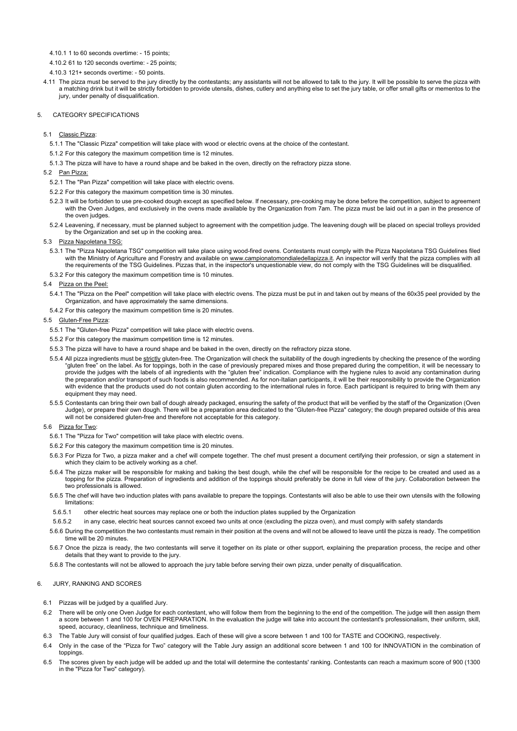4.10.1 1 to 60 seconds overtime: - 15 points;

4.10.2 61 to 120 seconds overtime: - 25 points;

- 4.10.3 121+ seconds overtime: 50 points.
- 4.11 The pizza must be served to the jury directly by the contestants; any assistants will not be allowed to talk to the jury. It will be possible to serve the pizza with a matching drink but it will be strictly forbidden to provide utensils, dishes, cutlery and anything else to set the jury table, or offer small gifts or mementos to the jury, under penalty of disqualification.

## 5. CATEGORY SPECIFICATIONS

## 5.1 Classic Pizza:

- 5.1.1 The "Classic Pizza" competition will take place with wood or electric ovens at the choice of the contestant.
- 5.1.2 For this category the maximum competition time is 12 minutes.
- 5.1.3 The pizza will have to have a round shape and be baked in the oven, directly on the refractory pizza stone.

#### 5.2 Pan Pizza:

- 5.2.1 The "Pan Pizza" competition will take place with electric ovens.
- 5.2.2 For this category the maximum competition time is 30 minutes.
- 5.2.3 It will be forbidden to use pre-cooked dough except as specified below. If necessary, pre-cooking may be done before the competition, subject to agreement with the Oven Judges, and exclusively in the ovens made available by the Organization from 7am. The pizza must be laid out in a pan in the presence of the oven judges.
- 5.2.4 Leavening, if necessary, must be planned subject to agreement with the competition judge. The leavening dough will be placed on special trolleys provided by the Organization and set up in the cooking area.

# 5.3 Pizza Napoletana TSG:

- 5.3.1 The "Pizza Napoletana TSG" competition will take place using wood-fired ovens. Contestants must comply with the Pizza Napoletana TSG Guidelines filed with the Ministry of Agriculture and Forestry and available on www.campionatomondialedellapizza.it. An inspector will verify that the pizza complies with all the requirements of the TSG Guidelines. Pizzas that, in the inspector's unquestionable view, do not comply with the TSG Guidelines will be disqualified.
- 5.3.2 For this category the maximum competition time is 10 minutes.

#### 5.4 Pizza on the Peel:

- 5.4.1 The "Pizza on the Peel" competition will take place with electric ovens. The pizza must be put in and taken out by means of the 60x35 peel provided by the Organization, and have approximately the same dimensions.
- 5.4.2 For this category the maximum competition time is 20 minutes.

## 5.5 Gluten-Free Pizza:

- 5.5.1 The "Gluten-free Pizza" competition will take place with electric ovens.
- 5.5.2 For this category the maximum competition time is 12 minutes.
- 5.5.3 The pizza will have to have a round shape and be baked in the oven, directly on the refractory pizza stone.
- 5.5.4 All pizza ingredients must be strictly gluten-free. The Organization will check the suitability of the dough ingredients by checking the presence of the wording "gluten free" on the label. As for toppings, both in the case of previously prepared mixes and those prepared during the competition, it will be necessary to provide the judges with the labels of all ingredients with the "gluten free" indication. Compliance with the hygiene rules to avoid any contamination during the preparation and/or transport of such foods is also recommended. As for non-Italian participants, it will be their responsibility to provide the Organization with evidence that the products used do not contain gluten according to the international rules in force. Each participant is required to bring with them any equipment they may need.
- 5.5.5 Contestants can bring their own ball of dough already packaged, ensuring the safety of the product that will be verified by the staff of the Organization (Oven<br>Judge), or prepare their own dough. There will be a prep will not be considered gluten-free and therefore not acceptable for this category.

## 5.6 Pizza for Two:

- 5.6.1 The "Pizza for Two" competition will take place with electric ovens.
- 5.6.2 For this category the maximum competition time is 20 minutes.
- 5.6.3 For Pizza for Two, a pizza maker and a chef will compete together. The chef must present a document certifying their profession, or sign a statement in which they claim to be actively working as a chef.
- 5.6.4 The pizza maker will be responsible for making and baking the best dough, while the chef will be responsible for the recipe to be created and used as a topping for the pizza. Preparation of ingredients and addition of the toppings should preferably be done in full view of the jury. Collaboration between the two professionals is allowed.
- 5.6.5 The chef will have two induction plates with pans available to prepare the toppings. Contestants will also be able to use their own utensils with the following limitations:
- 5.6.5.1 other electric heat sources may replace one or both the induction plates supplied by the Organization
- 5.6.5.2 in any case, electric heat sources cannot exceed two units at once (excluding the pizza oven), and must comply with safety standards
- 5.6.6 During the competition the two contestants must remain in their position at the ovens and will not be allowed to leave until the pizza is ready. The competition time will be 20 minutes
- 5.6.7 Once the pizza is ready, the two contestants will serve it together on its plate or other support, explaining the preparation process, the recipe and other details that they want to provide to the jury.
- 5.6.8 The contestants will not be allowed to approach the jury table before serving their own pizza, under penalty of disqualification.

## 6. JURY, RANKING AND SCORES

- 6.1 Pizzas will be judged by a qualified Jury.
- 6.2 There will be only one Oven Judge for each contestant, who will follow them from the beginning to the end of the competition. The judge will then assign them a score between 1 and 100 for OVEN PREPARATION. In the evaluation the judge will take into account the contestant's professionalism, their uniform, skill, speed, accuracy, cleanliness, technique and timeliness.
- 6.3 The Table Jury will consist of four qualified judges. Each of these will give a score between 1 and 100 for TASTE and COOKING, respectively.
- 6.4 Only in the case of the "Pizza for Two" category will the Table Jury assign an additional score between 1 and 100 for INNOVATION in the combination of toppings.
- 6.5 The scores given by each judge will be added up and the total will determine the contestants' ranking. Contestants can reach a maximum score of 900 (1300 in the "Pizza for Two" category).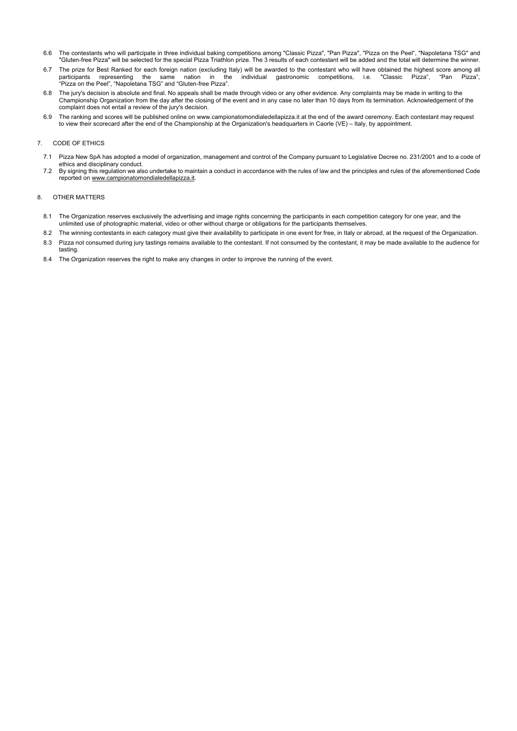- 6.6 The contestants who will participate in three individual baking competitions among "Classic Pizza", "Pan Pizza", "Pizza on the Peel", "Napoletana TSG" and "Gluten-free Pizza" will be selected for the special Pizza Triathlon prize. The 3 results of each contestant will be added and the total will determine the winner.
- 6.7 The prize for Best Ranked for each foreign nation (excluding Italy) will be awarded to the contestant who will have obtained the highest score among all participants representing the same nation in the individual gastr representing the same nation in the individual gastronomic competitions, i.e. "Classic Pizza", "Pan Pizza", "Pizza on the Peel", "Napoletana TSG" and "Gluten-free Pizza".
- 6.8 The jury's decision is absolute and final. No appeals shall be made through video or any other evidence. Any complaints may be made in writing to the Championship Organization from the day after the closing of the event and in any case no later than 10 days from its termination. Acknowledgement of the complaint does not entail a review of the jury's decision.
- 6.9 The ranking and scores will be published online on www.campionatomondialedellapizza.it at the end of the award ceremony. Each contestant may request to view their scorecard after the end of the Championship at the Organization's headquarters in Caorle (VE) – Italy, by appointment.

# 7. CODE OF ETHICS

- 7.1 Pizza New SpA has adopted a model of organization, management and control of the Company pursuant to Legislative Decree no. 231/2001 and to a code of ethics and disciplinary conduct.
- 7.2 By signing this regulation we also undertake to maintain a conduct in accordance with the rules of law and the principles and rules of the aforementioned Code reported on www.campionatomondialedellapizza.it.

## 8. OTHER MATTERS

- 8.1 The Organization reserves exclusively the advertising and image rights concerning the participants in each competition category for one year, and the unlimited use of photographic material, video or other without charge or obligations for the participants themselves.
- 8.2 The winning contestants in each category must give their availability to participate in one event for free, in Italy or abroad, at the request of the Organization.
- 8.3 Pizza not consumed during jury tastings remains available to the contestant. If not consumed by the contestant, it may be made available to the audience for tasting.
- 8.4 The Organization reserves the right to make any changes in order to improve the running of the event.